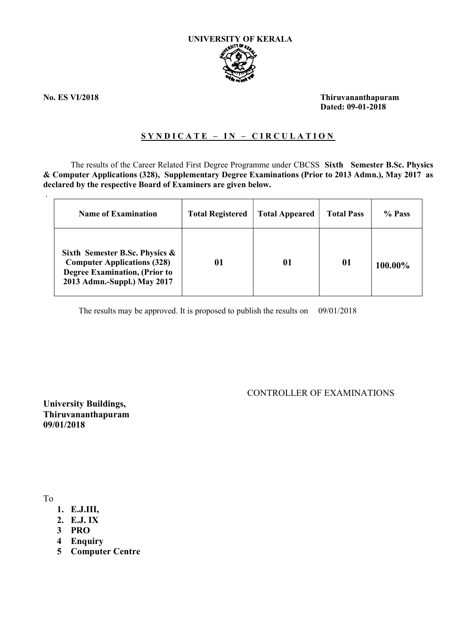

.

No. ES VI/2018 Thiruvananthapuram Dated: 09-01-2018

## SYNDICATE - IN - CIRCULATION

The results of the Career Related First Degree Programme under CBCSS Sixth Semester B.Sc. Physics & Computer Applications (328), Supplementary Degree Examinations (Prior to 2013 Admn.), May 2017 as declared by the respective Board of Examiners are given below.

| <b>Name of Examination</b>                                                                                                                  | <b>Total Registered</b> | <b>Total Appeared</b> | <b>Total Pass</b> | % Pass  |
|---------------------------------------------------------------------------------------------------------------------------------------------|-------------------------|-----------------------|-------------------|---------|
| Sixth Semester B.Sc. Physics &<br><b>Computer Applications (328)</b><br><b>Degree Examination, (Prior to</b><br>2013 Admn.-Suppl.) May 2017 |                         | 01                    | 01                | 100.00% |

The results may be approved. It is proposed to publish the results on 09/01/2018

CONTROLLER OF EXAMINATIONS

University Buildings, Thiruvananthapuram 09/01/2018

To

- 1. E.J.III,
- 2. E.J. IX
- 3 PRO
- 4 Enquiry
- 5 Computer Centre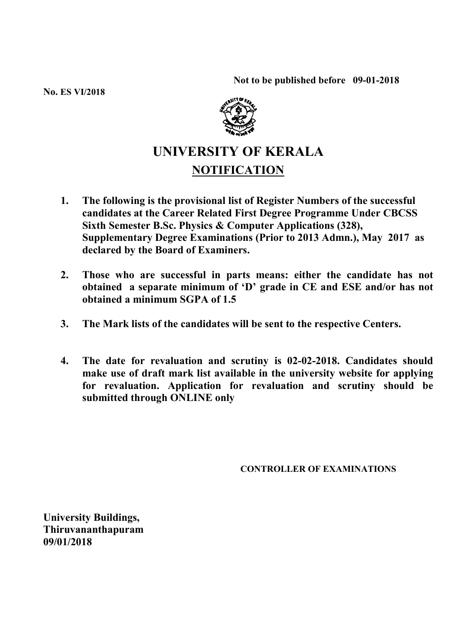Not to be published before 09-01-2018

No. ES VI/2018



## UNIVERSITY OF KERALA NOTIFICATION

- 1. The following is the provisional list of Register Numbers of the successful candidates at the Career Related First Degree Programme Under CBCSS Sixth Semester B.Sc. Physics & Computer Applications (328), Supplementary Degree Examinations (Prior to 2013 Admn.), May 2017 as declared by the Board of Examiners.
- 2. Those who are successful in parts means: either the candidate has not obtained a separate minimum of 'D' grade in CE and ESE and/or has not obtained a minimum SGPA of 1.5
- 3. The Mark lists of the candidates will be sent to the respective Centers.
- 4. The date for revaluation and scrutiny is 02-02-2018. Candidates should make use of draft mark list available in the university website for applying for revaluation. Application for revaluation and scrutiny should be submitted through ONLINE only

CONTROLLER OF EXAMINATIONS

University Buildings, Thiruvananthapuram 09/01/2018